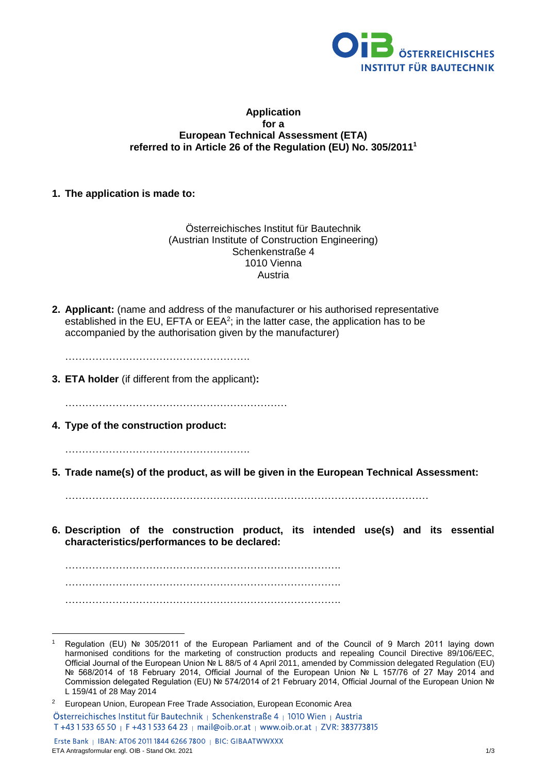

### **Application for a European Technical Assessment (ETA) referred to in Article 26 of the Regulation (EU) No. 305/2011<sup>1</sup>**

## **1. The application is made to:**

Österreichisches Institut für Bautechnik (Austrian Institute of Construction Engineering) Schenkenstraße 4 1010 Vienna Austria

**2. Applicant:** (name and address of the manufacturer or his authorised representative established in the EU, EFTA or  $EEA^2$ ; in the latter case, the application has to be accompanied by the authorisation given by the manufacturer)

……………………………………………….

**3. ETA holder** (if different from the applicant)**:**

…………………………………………………………

**4. Type of the construction product:** 

……………………………………………….

**5. Trade name(s) of the product, as will be given in the European Technical Assessment:** 

………………………………………………………………………………………………

**6. Description of the construction product, its intended use(s) and its essential characteristics/performances to be declared:** 

………………………………………………………………………. ………………………………………………………………………. ……………………………………………………………………….

<sup>1</sup> <sup>1</sup> Regulation (EU) № 305/2011 of the European Parliament and of the Council of 9 March 2011 laying down harmonised conditions for the marketing of construction products and repealing Council Directive 89/106/EEC, Official Journal of the European Union № L 88/5 of 4 April 2011, amended by Commission delegated Regulation (EU) № 568/2014 of 18 February 2014, Official Journal of the European Union № L 157/76 of 27 May 2014 and Commission delegated Regulation (EU) № 574/2014 of 21 February 2014, Official Journal of the European Union № L 159/41 of 28 May 2014

<sup>&</sup>lt;sup>2</sup> European Union, European Free Trade Association, European Economic Area Österreichisches Institut für Bautechnik | Schenkenstraße 4 | 1010 Wien | Austria T +43 1 533 65 50 | F +43 1 533 64 23 | mail@oib.or.at | www.oib.or.at | ZVR: 383773815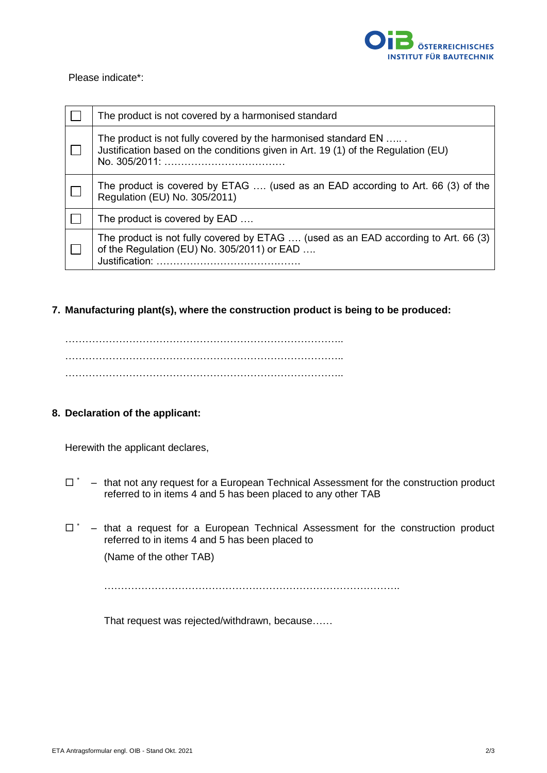

### Please indicate\*:

| The product is not covered by a harmonised standard                                                                                                 |
|-----------------------------------------------------------------------------------------------------------------------------------------------------|
| The product is not fully covered by the harmonised standard EN<br>Justification based on the conditions given in Art. 19 (1) of the Regulation (EU) |
| The product is covered by ETAG  (used as an EAD according to Art. 66 (3) of the<br>Regulation (EU) No. 305/2011)                                    |
| The product is covered by EAD                                                                                                                       |
| The product is not fully covered by ETAG  (used as an EAD according to Art. 66 (3)<br>of the Regulation (EU) No. 305/2011) or EAD<br>Justification: |

# **7. Manufacturing plant(s), where the construction product is being to be produced:**

……………………………………………………………………….. ……………………………………………………………………….. ………………………………………………………………………..

## **8. Declaration of the applicant:**

Herewith the applicant declares,

- $\Box$   $\dot{\Box}$  that not any request for a European Technical Assessment for the construction product referred to in items 4 and 5 has been placed to any other TAB
- $\Box$   $\sim$  that a request for a European Technical Assessment for the construction product referred to in items 4 and 5 has been placed to (Name of the other TAB)

…………………………………………………………………………….

That request was rejected/withdrawn, because……